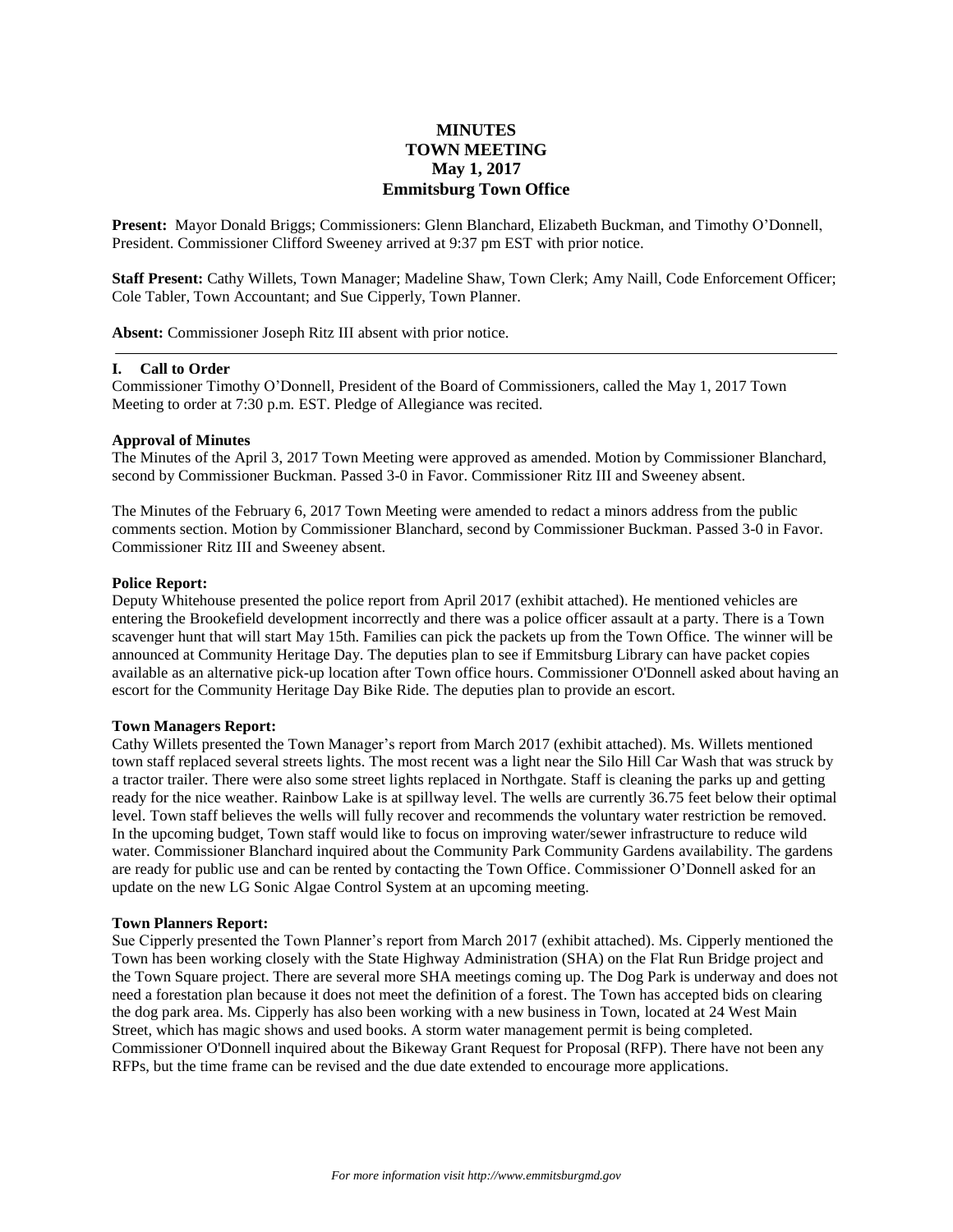# **MINUTES TOWN MEETING May 1, 2017 Emmitsburg Town Office**

**Present:** Mayor Donald Briggs; Commissioners: Glenn Blanchard, Elizabeth Buckman, and Timothy O'Donnell, President. Commissioner Clifford Sweeney arrived at 9:37 pm EST with prior notice.

**Staff Present:** Cathy Willets, Town Manager; Madeline Shaw, Town Clerk; Amy Naill, Code Enforcement Officer; Cole Tabler, Town Accountant; and Sue Cipperly, Town Planner.

**Absent:** Commissioner Joseph Ritz III absent with prior notice.

### **I. Call to Order**

Commissioner Timothy O'Donnell, President of the Board of Commissioners, called the May 1, 2017 Town Meeting to order at 7:30 p.m. EST. Pledge of Allegiance was recited.

#### **Approval of Minutes**

The Minutes of the April 3, 2017 Town Meeting were approved as amended. Motion by Commissioner Blanchard, second by Commissioner Buckman. Passed 3-0 in Favor. Commissioner Ritz III and Sweeney absent.

The Minutes of the February 6, 2017 Town Meeting were amended to redact a minors address from the public comments section. Motion by Commissioner Blanchard, second by Commissioner Buckman. Passed 3-0 in Favor. Commissioner Ritz III and Sweeney absent.

### **Police Report:**

Deputy Whitehouse presented the police report from April 2017 (exhibit attached). He mentioned vehicles are entering the Brookefield development incorrectly and there was a police officer assault at a party. There is a Town scavenger hunt that will start May 15th. Families can pick the packets up from the Town Office. The winner will be announced at Community Heritage Day. The deputies plan to see if Emmitsburg Library can have packet copies available as an alternative pick-up location after Town office hours. Commissioner O'Donnell asked about having an escort for the Community Heritage Day Bike Ride. The deputies plan to provide an escort.

### **Town Managers Report:**

Cathy Willets presented the Town Manager's report from March 2017 (exhibit attached). Ms. Willets mentioned town staff replaced several streets lights. The most recent was a light near the Silo Hill Car Wash that was struck by a tractor trailer. There were also some street lights replaced in Northgate. Staff is cleaning the parks up and getting ready for the nice weather. Rainbow Lake is at spillway level. The wells are currently 36.75 feet below their optimal level. Town staff believes the wells will fully recover and recommends the voluntary water restriction be removed. In the upcoming budget, Town staff would like to focus on improving water/sewer infrastructure to reduce wild water. Commissioner Blanchard inquired about the Community Park Community Gardens availability. The gardens are ready for public use and can be rented by contacting the Town Office. Commissioner O'Donnell asked for an update on the new LG Sonic Algae Control System at an upcoming meeting.

#### **Town Planners Report:**

Sue Cipperly presented the Town Planner's report from March 2017 (exhibit attached). Ms. Cipperly mentioned the Town has been working closely with the State Highway Administration (SHA) on the Flat Run Bridge project and the Town Square project. There are several more SHA meetings coming up. The Dog Park is underway and does not need a forestation plan because it does not meet the definition of a forest. The Town has accepted bids on clearing the dog park area. Ms. Cipperly has also been working with a new business in Town, located at 24 West Main Street, which has magic shows and used books. A storm water management permit is being completed. Commissioner O'Donnell inquired about the Bikeway Grant Request for Proposal (RFP). There have not been any RFPs, but the time frame can be revised and the due date extended to encourage more applications.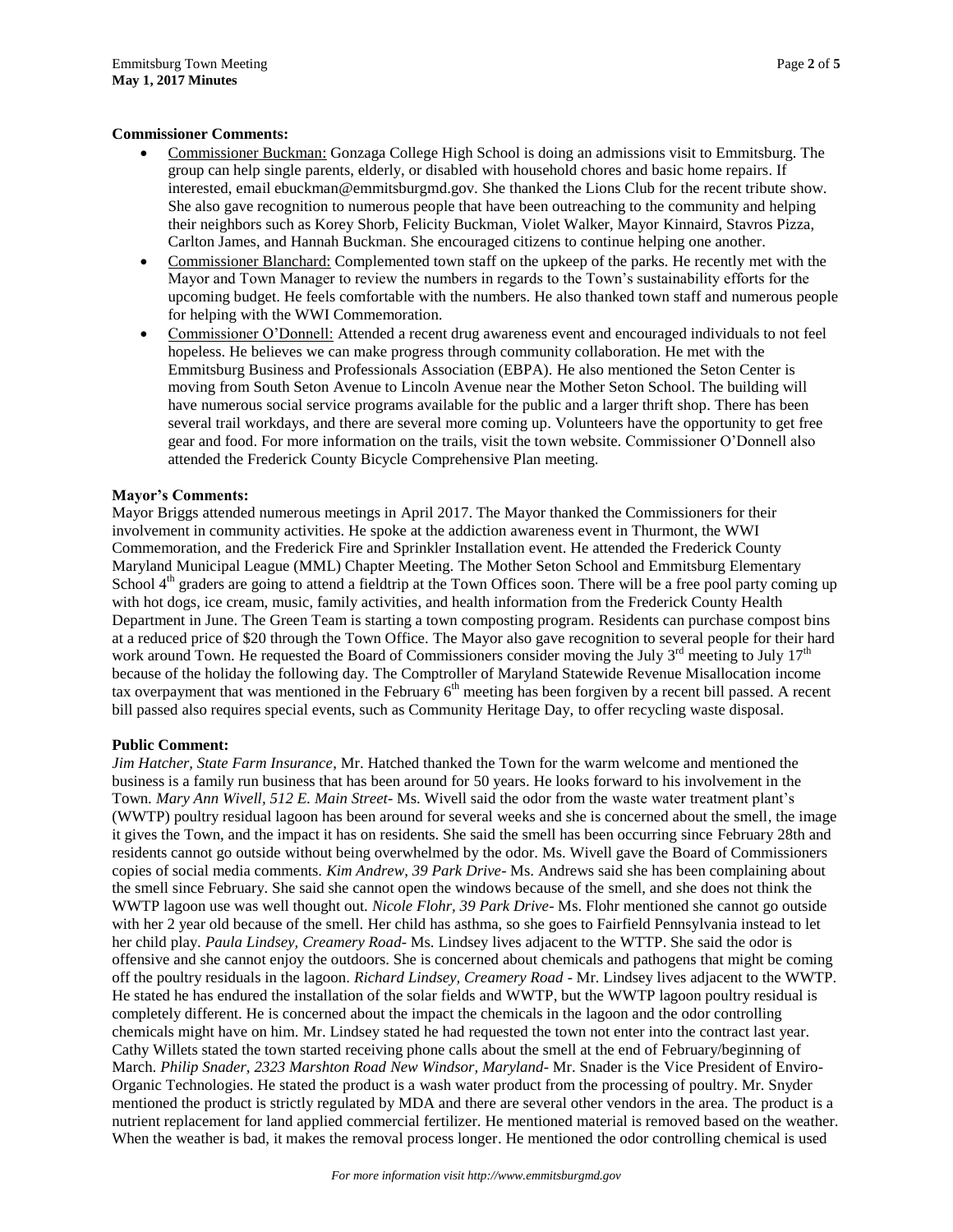# **Commissioner Comments:**

- Commissioner Buckman: Gonzaga College High School is doing an admissions visit to Emmitsburg. The group can help single parents, elderly, or disabled with household chores and basic home repairs. If interested, email ebuckman@emmitsburgmd.gov. She thanked the Lions Club for the recent tribute show. She also gave recognition to numerous people that have been outreaching to the community and helping their neighbors such as Korey Shorb, Felicity Buckman, Violet Walker, Mayor Kinnaird, Stavros Pizza, Carlton James, and Hannah Buckman. She encouraged citizens to continue helping one another.
- Commissioner Blanchard: Complemented town staff on the upkeep of the parks. He recently met with the Mayor and Town Manager to review the numbers in regards to the Town's sustainability efforts for the upcoming budget. He feels comfortable with the numbers. He also thanked town staff and numerous people for helping with the WWI Commemoration.
- Commissioner O'Donnell: Attended a recent drug awareness event and encouraged individuals to not feel hopeless. He believes we can make progress through community collaboration. He met with the Emmitsburg Business and Professionals Association (EBPA). He also mentioned the Seton Center is moving from South Seton Avenue to Lincoln Avenue near the Mother Seton School. The building will have numerous social service programs available for the public and a larger thrift shop. There has been several trail workdays, and there are several more coming up. Volunteers have the opportunity to get free gear and food. For more information on the trails, visit the town website. Commissioner O'Donnell also attended the Frederick County Bicycle Comprehensive Plan meeting.

### **Mayor's Comments:**

Mayor Briggs attended numerous meetings in April 2017. The Mayor thanked the Commissioners for their involvement in community activities. He spoke at the addiction awareness event in Thurmont, the WWI Commemoration, and the Frederick Fire and Sprinkler Installation event. He attended the Frederick County Maryland Municipal League (MML) Chapter Meeting. The Mother Seton School and Emmitsburg Elementary School  $4<sup>th</sup>$  graders are going to attend a fieldtrip at the Town Offices soon. There will be a free pool party coming up with hot dogs, ice cream, music, family activities, and health information from the Frederick County Health Department in June. The Green Team is starting a town composting program. Residents can purchase compost bins at a reduced price of \$20 through the Town Office. The Mayor also gave recognition to several people for their hard work around Town. He requested the Board of Commissioners consider moving the July  $3^{rd}$  meeting to July  $17^{th}$ because of the holiday the following day. The Comptroller of Maryland Statewide Revenue Misallocation income tax overpayment that was mentioned in the February  $6<sup>th</sup>$  meeting has been forgiven by a recent bill passed. A recent bill passed also requires special events, such as Community Heritage Day, to offer recycling waste disposal.

# **Public Comment:**

*Jim Hatcher, State Farm Insurance*, Mr. Hatched thanked the Town for the warm welcome and mentioned the business is a family run business that has been around for 50 years. He looks forward to his involvement in the Town. *Mary Ann Wivell, 512 E. Main Street*- Ms. Wivell said the odor from the waste water treatment plant's (WWTP) poultry residual lagoon has been around for several weeks and she is concerned about the smell, the image it gives the Town, and the impact it has on residents. She said the smell has been occurring since February 28th and residents cannot go outside without being overwhelmed by the odor. Ms. Wivell gave the Board of Commissioners copies of social media comments. *Kim Andrew, 39 Park Drive*- Ms. Andrews said she has been complaining about the smell since February. She said she cannot open the windows because of the smell, and she does not think the WWTP lagoon use was well thought out. *Nicole Flohr, 39 Park Drive*- Ms. Flohr mentioned she cannot go outside with her 2 year old because of the smell. Her child has asthma, so she goes to Fairfield Pennsylvania instead to let her child play. *Paula Lindsey, Creamery Road*- Ms. Lindsey lives adjacent to the WTTP. She said the odor is offensive and she cannot enjoy the outdoors. She is concerned about chemicals and pathogens that might be coming off the poultry residuals in the lagoon. *Richard Lindsey, Creamery Road* - Mr. Lindsey lives adjacent to the WWTP. He stated he has endured the installation of the solar fields and WWTP, but the WWTP lagoon poultry residual is completely different. He is concerned about the impact the chemicals in the lagoon and the odor controlling chemicals might have on him. Mr. Lindsey stated he had requested the town not enter into the contract last year. Cathy Willets stated the town started receiving phone calls about the smell at the end of February/beginning of March. *Philip Snader, 2323 Marshton Road New Windsor, Maryland*- Mr. Snader is the Vice President of Enviro-Organic Technologies. He stated the product is a wash water product from the processing of poultry. Mr. Snyder mentioned the product is strictly regulated by MDA and there are several other vendors in the area. The product is a nutrient replacement for land applied commercial fertilizer. He mentioned material is removed based on the weather. When the weather is bad, it makes the removal process longer. He mentioned the odor controlling chemical is used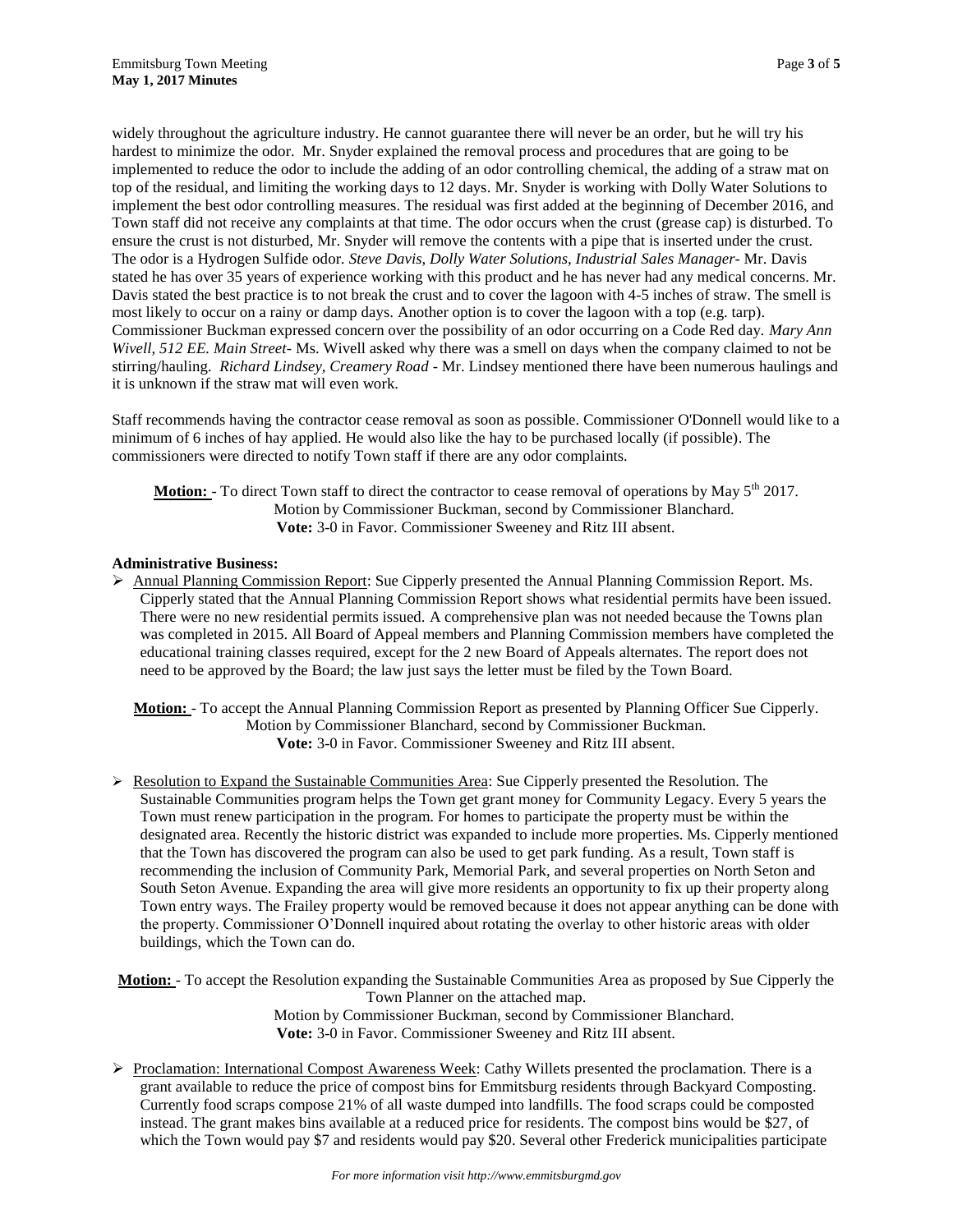widely throughout the agriculture industry. He cannot guarantee there will never be an order, but he will try his hardest to minimize the odor. Mr. Snyder explained the removal process and procedures that are going to be implemented to reduce the odor to include the adding of an odor controlling chemical, the adding of a straw mat on top of the residual, and limiting the working days to 12 days. Mr. Snyder is working with Dolly Water Solutions to implement the best odor controlling measures. The residual was first added at the beginning of December 2016, and Town staff did not receive any complaints at that time. The odor occurs when the crust (grease cap) is disturbed. To ensure the crust is not disturbed, Mr. Snyder will remove the contents with a pipe that is inserted under the crust. The odor is a Hydrogen Sulfide odor. *Steve Davis, Dolly Water Solutions, Industrial Sales Manager*- Mr. Davis stated he has over 35 years of experience working with this product and he has never had any medical concerns. Mr. Davis stated the best practice is to not break the crust and to cover the lagoon with 4-5 inches of straw. The smell is most likely to occur on a rainy or damp days. Another option is to cover the lagoon with a top (e.g. tarp). Commissioner Buckman expressed concern over the possibility of an odor occurring on a Code Red day. *Mary Ann Wivell, 512 EE. Main Street*- Ms. Wivell asked why there was a smell on days when the company claimed to not be stirring/hauling. *Richard Lindsey, Creamery Road* - Mr. Lindsey mentioned there have been numerous haulings and it is unknown if the straw mat will even work.

Staff recommends having the contractor cease removal as soon as possible. Commissioner O'Donnell would like to a minimum of 6 inches of hay applied. He would also like the hay to be purchased locally (if possible). The commissioners were directed to notify Town staff if there are any odor complaints.

**Motion:** - To direct Town staff to direct the contractor to cease removal of operations by May 5<sup>th</sup> 2017. Motion by Commissioner Buckman, second by Commissioner Blanchard. **Vote:** 3-0 in Favor. Commissioner Sweeney and Ritz III absent.

# **Administrative Business:**

 $\triangleright$  Annual Planning Commission Report: Sue Cipperly presented the Annual Planning Commission Report. Ms. Cipperly stated that the Annual Planning Commission Report shows what residential permits have been issued. There were no new residential permits issued. A comprehensive plan was not needed because the Towns plan was completed in 2015. All Board of Appeal members and Planning Commission members have completed the educational training classes required, except for the 2 new Board of Appeals alternates. The report does not need to be approved by the Board; the law just says the letter must be filed by the Town Board.

**Motion:** - To accept the Annual Planning Commission Report as presented by Planning Officer Sue Cipperly. Motion by Commissioner Blanchard, second by Commissioner Buckman. **Vote:** 3-0 in Favor. Commissioner Sweeney and Ritz III absent.

 $\triangleright$  Resolution to Expand the Sustainable Communities Area: Sue Cipperly presented the Resolution. The Sustainable Communities program helps the Town get grant money for Community Legacy. Every 5 years the Town must renew participation in the program. For homes to participate the property must be within the designated area. Recently the historic district was expanded to include more properties. Ms. Cipperly mentioned that the Town has discovered the program can also be used to get park funding. As a result, Town staff is recommending the inclusion of Community Park, Memorial Park, and several properties on North Seton and South Seton Avenue. Expanding the area will give more residents an opportunity to fix up their property along Town entry ways. The Frailey property would be removed because it does not appear anything can be done with the property. Commissioner O'Donnell inquired about rotating the overlay to other historic areas with older buildings, which the Town can do.

**Motion:** - To accept the Resolution expanding the Sustainable Communities Area as proposed by Sue Cipperly the Town Planner on the attached map.

Motion by Commissioner Buckman, second by Commissioner Blanchard. **Vote:** 3-0 in Favor. Commissioner Sweeney and Ritz III absent.

Proclamation: International Compost Awareness Week: Cathy Willets presented the proclamation. There is a grant available to reduce the price of compost bins for Emmitsburg residents through Backyard Composting. Currently food scraps compose 21% of all waste dumped into landfills. The food scraps could be composted instead. The grant makes bins available at a reduced price for residents. The compost bins would be \$27, of which the Town would pay \$7 and residents would pay \$20. Several other Frederick municipalities participate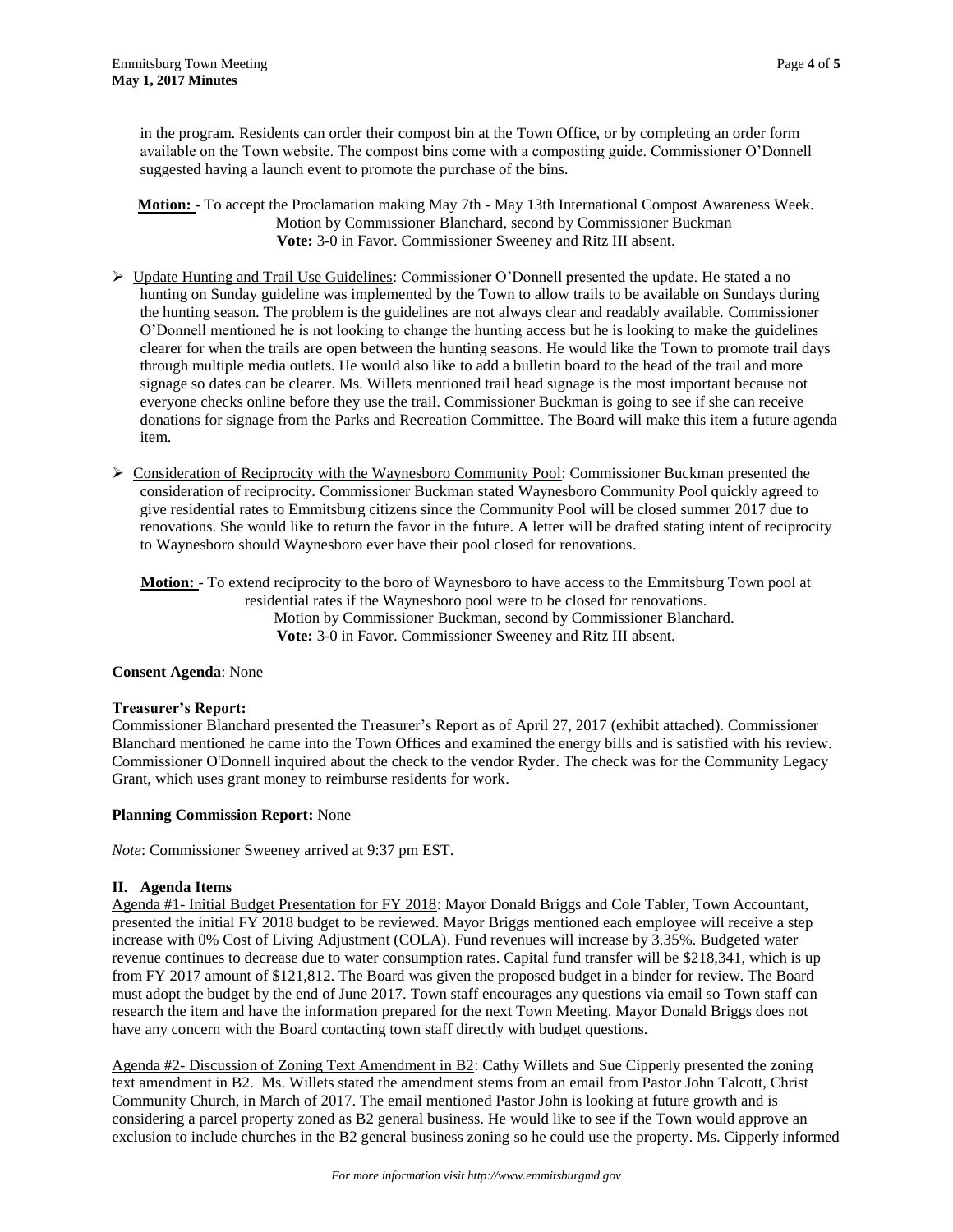in the program. Residents can order their compost bin at the Town Office, or by completing an order form available on the Town website. The compost bins come with a composting guide. Commissioner O'Donnell suggested having a launch event to promote the purchase of the bins.

**Motion:** - To accept the Proclamation making May 7th - May 13th International Compost Awareness Week. Motion by Commissioner Blanchard, second by Commissioner Buckman **Vote:** 3-0 in Favor. Commissioner Sweeney and Ritz III absent.

- $\triangleright$  Update Hunting and Trail Use Guidelines: Commissioner O'Donnell presented the update. He stated a no hunting on Sunday guideline was implemented by the Town to allow trails to be available on Sundays during the hunting season. The problem is the guidelines are not always clear and readably available. Commissioner O'Donnell mentioned he is not looking to change the hunting access but he is looking to make the guidelines clearer for when the trails are open between the hunting seasons. He would like the Town to promote trail days through multiple media outlets. He would also like to add a bulletin board to the head of the trail and more signage so dates can be clearer. Ms. Willets mentioned trail head signage is the most important because not everyone checks online before they use the trail. Commissioner Buckman is going to see if she can receive donations for signage from the Parks and Recreation Committee. The Board will make this item a future agenda item.
- $\triangleright$  Consideration of Reciprocity with the Waynesboro Community Pool: Commissioner Buckman presented the consideration of reciprocity. Commissioner Buckman stated Waynesboro Community Pool quickly agreed to give residential rates to Emmitsburg citizens since the Community Pool will be closed summer 2017 due to renovations. She would like to return the favor in the future. A letter will be drafted stating intent of reciprocity to Waynesboro should Waynesboro ever have their pool closed for renovations.

**Motion:** - To extend reciprocity to the boro of Waynesboro to have access to the Emmitsburg Town pool at residential rates if the Waynesboro pool were to be closed for renovations. Motion by Commissioner Buckman, second by Commissioner Blanchard. **Vote:** 3-0 in Favor. Commissioner Sweeney and Ritz III absent.

# **Consent Agenda**: None

# **Treasurer's Report:**

Commissioner Blanchard presented the Treasurer's Report as of April 27, 2017 (exhibit attached). Commissioner Blanchard mentioned he came into the Town Offices and examined the energy bills and is satisfied with his review. Commissioner O'Donnell inquired about the check to the vendor Ryder. The check was for the Community Legacy Grant, which uses grant money to reimburse residents for work.

# **Planning Commission Report:** None

*Note*: Commissioner Sweeney arrived at 9:37 pm EST.

# **II. Agenda Items**

Agenda #1- Initial Budget Presentation for FY 2018: Mayor Donald Briggs and Cole Tabler, Town Accountant, presented the initial FY 2018 budget to be reviewed. Mayor Briggs mentioned each employee will receive a step increase with 0% Cost of Living Adjustment (COLA). Fund revenues will increase by 3.35%. Budgeted water revenue continues to decrease due to water consumption rates. Capital fund transfer will be \$218,341, which is up from FY 2017 amount of \$121,812. The Board was given the proposed budget in a binder for review. The Board must adopt the budget by the end of June 2017. Town staff encourages any questions via email so Town staff can research the item and have the information prepared for the next Town Meeting. Mayor Donald Briggs does not have any concern with the Board contacting town staff directly with budget questions.

Agenda #2- Discussion of Zoning Text Amendment in B2: Cathy Willets and Sue Cipperly presented the zoning text amendment in B2. Ms. Willets stated the amendment stems from an email from Pastor John Talcott, Christ Community Church, in March of 2017. The email mentioned Pastor John is looking at future growth and is considering a parcel property zoned as B2 general business. He would like to see if the Town would approve an exclusion to include churches in the B2 general business zoning so he could use the property. Ms. Cipperly informed